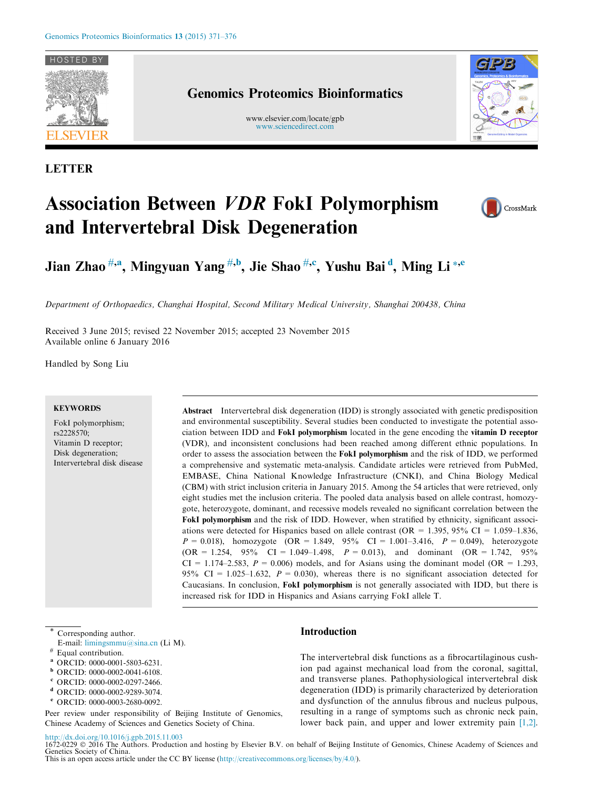

LETTER

## Genomics Proteomics Bioinformatics

www.elsevier.com/locate/gpb [www.sciencedirect.com](http://www.sciencedirect.com)



# Association Between VDR FokI Polymorphism and Intervertebral Disk Degeneration



Jian Zhao $^{ \# ,\bf a },$  Mingyuan Yang $^{ \#, \bf b },$  Jie Shao $^{ \#, \bf c },$  Yushu Bai $^{\bf d },$  Ming Li $^{*, \bf e }$ 

Department of Orthopaedics, Changhai Hospital, Second Military Medical University, Shanghai 200438, China

Received 3 June 2015; revised 22 November 2015; accepted 23 November 2015 Available online 6 January 2016

Handled by Song Liu

#### **KEYWORDS**

FokI polymorphism; rs2228570; Vitamin D receptor; Disk degeneration; Intervertebral disk disease Abstract Intervertebral disk degeneration (IDD) is strongly associated with genetic predisposition and environmental susceptibility. Several studies been conducted to investigate the potential association between IDD and FokI polymorphism located in the gene encoding the vitamin D receptor (VDR), and inconsistent conclusions had been reached among different ethnic populations. In order to assess the association between the FokI polymorphism and the risk of IDD, we performed a comprehensive and systematic meta-analysis. Candidate articles were retrieved from PubMed, EMBASE, China National Knowledge Infrastructure (CNKI), and China Biology Medical (CBM) with strict inclusion criteria in January 2015. Among the 54 articles that were retrieved, only eight studies met the inclusion criteria. The pooled data analysis based on allele contrast, homozygote, heterozygote, dominant, and recessive models revealed no significant correlation between the FokI polymorphism and the risk of IDD. However, when stratified by ethnicity, significant associ-ations were detected for Hispanics based on allele contrast (OR = 1.395, 95% CI = 1.059–1.836,  $P = 0.018$ ), homozygote (OR = 1.849, 95% CI = 1.001-3.416,  $P = 0.049$ ), heterozygote  $(OR = 1.254, 95\% \text{ CI} = 1.049 - 1.498, P = 0.013)$ , and dominant  $(OR = 1.742, 95\% \text{ CI} = 1.049 - 1.498)$  $CI = 1.174-2.583$ ,  $P = 0.006$ ) models, and for Asians using the dominant model (OR = 1.293, 95% CI = 1.025–1.632,  $P = 0.030$ , whereas there is no significant association detected for Caucasians. In conclusion, FokI polymorphism is not generally associated with IDD, but there is increased risk for IDD in Hispanics and Asians carrying FokI allele T.

Corresponding author.

- E-mail: [limingsmmu@sina.cn](mailto:limingsmmu@sina.cn) (Li M). Equal contribution.
- ORCID: 0000-0001-5803-6231.
- <sup>b</sup> ORCID: 0000-0002-0041-6108.
- 
- <sup>c</sup> ORCID: 0000-0002-0297-2466.
- <sup>d</sup> ORCID: 0000-0002-9289-3074.
- <sup>e</sup> ORCID: 0000-0003-2680-0092.

Peer review under responsibility of Beijing Institute of Genomics, Chinese Academy of Sciences and Genetics Society of China.

## Introduction

The intervertebral disk functions as a fibrocartilaginous cushion pad against mechanical load from the coronal, sagittal, and transverse planes. Pathophysiological intervertebral disk degeneration (IDD) is primarily characterized by deterioration and dysfunction of the annulus fibrous and nucleus pulpous, resulting in a range of symptoms such as chronic neck pain, lower back pain, and upper and lower extremity pain [\[1,2\]](#page-4-0).

## <http://dx.doi.org/10.1016/j.gpb.2015.11.003>

1672-0229 © 2016 The Authors. Production and hosting by Elsevier B.V. on behalf of Beijing Institute of Genomics, Chinese Academy of Sciences and Genetics Society of China. This is an open access article under the CC BY license (<http://creativecommons.org/licenses/by/4.0/>).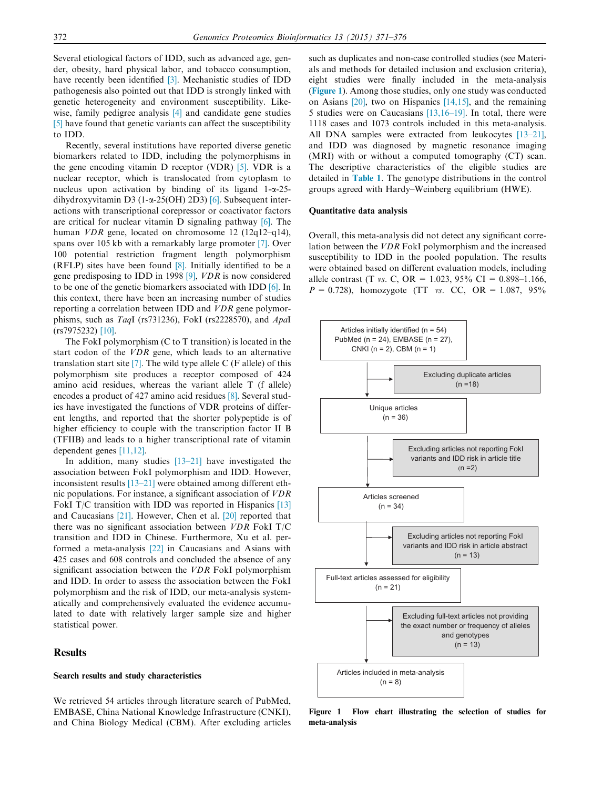Several etiological factors of IDD, such as advanced age, gender, obesity, hard physical labor, and tobacco consumption, have recently been identified [\[3\]](#page-4-0). Mechanistic studies of IDD pathogenesis also pointed out that IDD is strongly linked with genetic heterogeneity and environment susceptibility. Likewise, family pedigree analysis [\[4\]](#page-5-0) and candidate gene studies [\[5\]](#page-5-0) have found that genetic variants can affect the susceptibility to IDD.

Recently, several institutions have reported diverse genetic biomarkers related to IDD, including the polymorphisms in the gene encoding vitamin D receptor (VDR) [\[5\]](#page-5-0). VDR is a nuclear receptor, which is translocated from cytoplasm to nucleus upon activation by binding of its ligand  $1-\alpha-25$ dihydroxyvitamin D3 (1- $\alpha$ -25(OH) 2D3) [\[6\].](#page-5-0) Subsequent interactions with transcriptional corepressor or coactivator factors are critical for nuclear vitamin D signaling pathway [\[6\]](#page-5-0). The human VDR gene, located on chromosome 12 (12q12–q14), spans over 105 kb with a remarkably large promoter [\[7\].](#page-5-0) Over 100 potential restriction fragment length polymorphism (RFLP) sites have been found [\[8\].](#page-5-0) Initially identified to be a gene predisposing to IDD in 1998 [\[9\],](#page-5-0) VDR is now considered to be one of the genetic biomarkers associated with IDD [\[6\].](#page-5-0) In this context, there have been an increasing number of studies reporting a correlation between IDD and VDR gene polymorphisms, such as TaqI (rs731236), FokI (rs2228570), and ApaI (rs7975232) [\[10\].](#page-5-0)

The FokI polymorphism (C to T transition) is located in the start codon of the VDR gene, which leads to an alternative translation start site  $[7]$ . The wild type allele C (F allele) of this polymorphism site produces a receptor composed of 424 amino acid residues, whereas the variant allele T (f allele) encodes a product of 427 amino acid residues [\[8\].](#page-5-0) Several studies have investigated the functions of VDR proteins of different lengths, and reported that the shorter polypeptide is of higher efficiency to couple with the transcription factor II B (TFIIB) and leads to a higher transcriptional rate of vitamin dependent genes [\[11,12\]](#page-5-0).

In addition, many studies  $[13-21]$  have investigated the association between FokI polymorphism and IDD. However, inconsistent results [\[13–21\]](#page-5-0) were obtained among different ethnic populations. For instance, a significant association of VDR FokI T/C transition with IDD was reported in Hispanics [\[13\]](#page-5-0) and Caucasians [\[21\].](#page-5-0) However, Chen et al. [\[20\]](#page-5-0) reported that there was no significant association between VDR FokI T/C transition and IDD in Chinese. Furthermore, Xu et al. performed a meta-analysis [\[22\]](#page-5-0) in Caucasians and Asians with 425 cases and 608 controls and concluded the absence of any significant association between the VDR FokI polymorphism and IDD. In order to assess the association between the FokI polymorphism and the risk of IDD, our meta-analysis systematically and comprehensively evaluated the evidence accumulated to date with relatively larger sample size and higher statistical power.

#### **Results**

## Search results and study characteristics

We retrieved 54 articles through literature search of PubMed, EMBASE, China National Knowledge Infrastructure (CNKI), and China Biology Medical (CBM). After excluding articles

such as duplicates and non-case controlled studies (see Materials and methods for detailed inclusion and exclusion criteria), eight studies were finally included in the meta-analysis (Figure 1). Among those studies, only one study was conducted on Asians [\[20\],](#page-5-0) two on Hispanics [\[14,15\],](#page-5-0) and the remaining 5 studies were on Caucasians [\[13,16–19\]](#page-5-0). In total, there were 1118 cases and 1073 controls included in this meta-analysis. All DNA samples were extracted from leukocytes [\[13–21\]](#page-5-0), and IDD was diagnosed by magnetic resonance imaging (MRI) with or without a computed tomography (CT) scan. The descriptive characteristics of the eligible studies are detailed in [Table 1](#page-2-0). The genotype distributions in the control groups agreed with Hardy–Weinberg equilibrium (HWE).

#### Quantitative data analysis

Overall, this meta-analysis did not detect any significant correlation between the VDR FokI polymorphism and the increased susceptibility to IDD in the pooled population. The results were obtained based on different evaluation models, including allele contrast (T vs. C, OR =  $1.023$ , 95% CI = 0.898-1.166,  $P = 0.728$ ), homozygote (TT vs. CC, OR = 1.087, 95%)



Figure 1 Flow chart illustrating the selection of studies for meta-analysis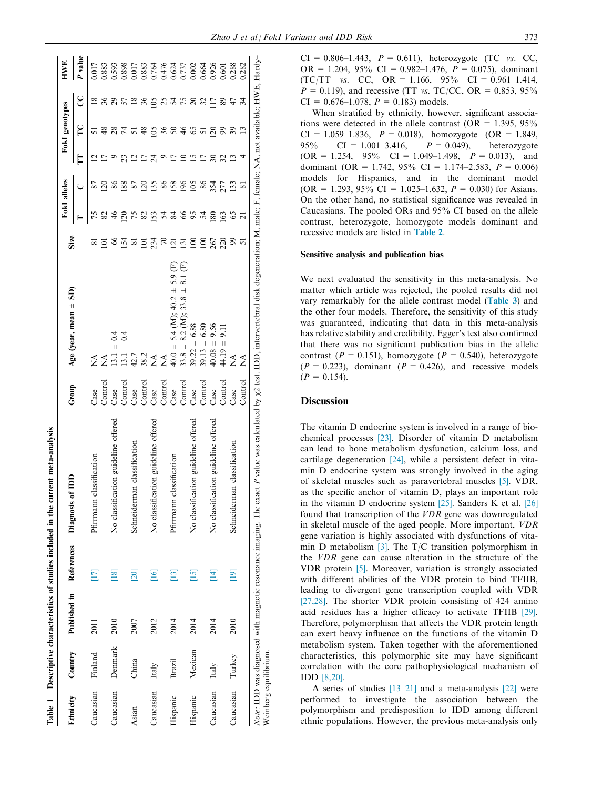<span id="page-2-0"></span>

| Published in References<br>$[18]$<br>[16]<br>[20]<br>$\Box$<br>2010<br>2012<br>2007<br>2011<br>Denmark<br>Country<br>Finland<br>China<br>Italy<br>Caucasian<br>Caucasian<br>Caucasian<br><b>Ethnicity</b><br>Asian | No classification guideline offered<br>classification<br>of IDD<br>Diagnosis<br>Pfirrmann | Group         |                                                      | Size                |                 | FokI alleles            |    | Fokl genotypes |                 | HWE     |
|--------------------------------------------------------------------------------------------------------------------------------------------------------------------------------------------------------------------|-------------------------------------------------------------------------------------------|---------------|------------------------------------------------------|---------------------|-----------------|-------------------------|----|----------------|-----------------|---------|
|                                                                                                                                                                                                                    |                                                                                           |               | Age (year, mean $\pm$ SD)                            |                     |                 |                         | E  | P              | ႘               | P value |
|                                                                                                                                                                                                                    |                                                                                           | Case          | ž                                                    |                     |                 | 87                      | ų  |                | $\frac{8}{2}$   | 0.017   |
|                                                                                                                                                                                                                    |                                                                                           | Contro        | $\mathop{\rm S}\nolimits$                            | ⊝                   |                 | ನ                       |    |                |                 | 0.883   |
|                                                                                                                                                                                                                    |                                                                                           | Case          | $13.1 \pm 0.4$                                       | 8                   | $\frac{8}{3}$   | 86                      |    |                |                 | 0.593   |
|                                                                                                                                                                                                                    |                                                                                           | Control       | 0.4<br>$13.1 \pm$                                    | $\overline{2}$      | $\overline{20}$ | 88                      | R  | 74             |                 | 0.898   |
|                                                                                                                                                                                                                    | Schneiderman classification                                                               | Case          | 42.7                                                 | $\overline{\infty}$ |                 | 22                      |    |                | $\frac{8}{2}$   | 0.017   |
|                                                                                                                                                                                                                    |                                                                                           | Control       | 38.2                                                 | $\overline{\circ}$  | 82              | $\overline{\mathbb{S}}$ |    |                | 36              | 0.883   |
|                                                                                                                                                                                                                    | No classification guideline offered                                                       | Case          | Ź                                                    | 234                 | <b>53</b>       | $\frac{35}{5}$          |    | $\mathcal{S}$  | 105             | 0.764   |
|                                                                                                                                                                                                                    |                                                                                           | Contro        | ź                                                    | 70                  | 24              | 86                      |    | 36             | $25 \times$     | 0.476   |
| $[13]$<br>2014<br>Brazil<br>Hispanic                                                                                                                                                                               | classification<br>Pfirmann                                                                | Case          | $40.0 \pm 5.4$ (M); $40.2 \pm 5.9$ (F)               | $\Xi$               | 84              | <b>158</b>              | Ξ  | $\mathcal{S}$  |                 | 0.624   |
|                                                                                                                                                                                                                    |                                                                                           | Contro        | 8.1(F)<br>$\overline{+}$<br>$33.8 \pm 8.2$ (M); 33.8 | $\overline{5}$      | 99              | $\frac{8}{2}$           |    | $\frac{8}{4}$  | $5\overline{7}$ | 0.737   |
| $[15]$<br>2014<br>Mexican<br>Hispanic                                                                                                                                                                              | No classification guideline offered                                                       | Case          | $39.22 \pm 6.88$                                     | $\Xi$               | 95              | $\approx$               | 51 |                | $\mathbb{S}$    | 0.002   |
|                                                                                                                                                                                                                    |                                                                                           | $\frac{1}{2}$ | $39.13 \pm 6.80$                                     | $\approx$           | 24              | 86                      | ⊵  | 5              |                 | 0.664   |
| [14]<br>2014<br>Italy<br>Caucasian                                                                                                                                                                                 | No classification guideline offered                                                       | Case          | $40.08 \pm 9.56$                                     | 267                 | 180             | 354                     |    | $\overline{c}$ | $\overline{17}$ | 0.926   |
|                                                                                                                                                                                                                    |                                                                                           | Contro        | $44.19 \pm 9.1$                                      | 220                 | 163             | 277                     | 32 |                | 89              | 0.601   |
| $[19]$<br>2010<br>Turkey<br>Caucasian                                                                                                                                                                              | Schneiderman classification                                                               | Case          | $\frac{1}{2}$                                        | $\mathfrak{g}$      | 65              | 133                     | ≌  | 39             | 47              | 0.288   |
|                                                                                                                                                                                                                    |                                                                                           | $\frac{1}{2}$ | Ź                                                    | 5                   | ಸ               | ವ                       |    |                | ਨ਼              | 0.282   |

 $CI = 0.806 - 1.443$ ,  $P = 0.611$ , heterozygote (TC vs. CC, OR = 1.204, 95% CI = 0.982-1.476,  $P = 0.075$ ), dominant (TC/TT vs. CC, OR = 1.166,  $95\%$  CI = 0.961-1.414,  $P = 0.119$ , and recessive (TT vs. TC/CC, OR = 0.853, 95%)  $CI = 0.676 - 1.078$ ,  $P = 0.183$  models.

When stratified by ethnicity, however, significant associations were detected in the allele contrast (OR =  $1.395, 95\%$ CI = 1.059–1.836,  $P = 0.018$ ), homozygote (OR = 1.849, 95% CI = 1.001–3.416,  $P = 0.049$ ), heterozygote 95% CI = 1.001-3.416,  $P = 0.049$ , heterozygote  $(OR = 1.254, 95\% \text{ CI} = 1.049-1.498, P = 0.013),$  and dominant (OR = 1.742, 95% CI = 1.174–2.583,  $P = 0.006$ ) models for Hispanics, and in the dominant model  $(OR = 1.293, 95\% \text{ CI} = 1.025-1.632, P = 0.030)$  for Asians. On the other hand, no statistical significance was revealed in Caucasians. The pooled ORs and 95% CI based on the allele contrast, heterozygote, homozygote models dominant and recessive models are listed in [Table 2](#page-3-0).

#### Sensitive analysis and publication bias

We next evaluated the sensitivity in this meta-analysis. No matter which article was rejected, the pooled results did not vary remarkably for the allele contrast model ([Table 3](#page-3-0)) and the other four models. Therefore, the sensitivity of this study was guaranteed, indicating that data in this meta-analysis has relative stability and credibility. Egger's test also confirmed that there was no significant publication bias in the allelic contrast ( $P = 0.151$ ), homozygote ( $P = 0.540$ ), heterozygote  $(P = 0.223)$ , dominant  $(P = 0.426)$ , and recessive models  $(P = 0.154)$ .

## **Discussion**

The vitamin D endocrine system is involved in a range of biochemical processes [\[23\]](#page-5-0). Disorder of vitamin D metabolism can lead to bone metabolism dysfunction, calcium loss, and cartilage degeneration [\[24\]](#page-5-0), while a persistent defect in vitamin D endocrine system was strongly involved in the aging of skeletal muscles such as paravertebral muscles [\[5\].](#page-5-0) VDR, as the specific anchor of vitamin D, plays an important role in the vitamin D endocrine system [\[25\].](#page-5-0) Sanders K et al. [\[26\]](#page-5-0) found that transcription of the VDR gene was downregulated in skeletal muscle of the aged people. More important, VDR gene variation is highly associated with dysfunctions of vitamin D metabolism [\[3\].](#page-4-0) The T/C transition polymorphism in the VDR gene can cause alteration in the structure of the VDR protein [\[5\]](#page-5-0). Moreover, variation is strongly associated with different abilities of the VDR protein to bind TFIIB, leading to divergent gene transcription coupled with VDR [\[27,28\].](#page-5-0) The shorter VDR protein consisting of 424 amino acid residues has a higher efficacy to activate TFIIB [\[29\]](#page-5-0). Therefore, polymorphism that affects the VDR protein length can exert heavy influence on the functions of the vitamin D metabolism system. Taken together with the aforementioned characteristics, this polymorphic site may have significant correlation with the core pathophysiological mechanism of IDD [\[8,20\].](#page-5-0)

A series of studies  $[13-21]$  and a meta-analysis  $[22]$  were performed to investigate the association between the polymorphism and predisposition to IDD among different ethnic populations. However, the previous meta-analysis only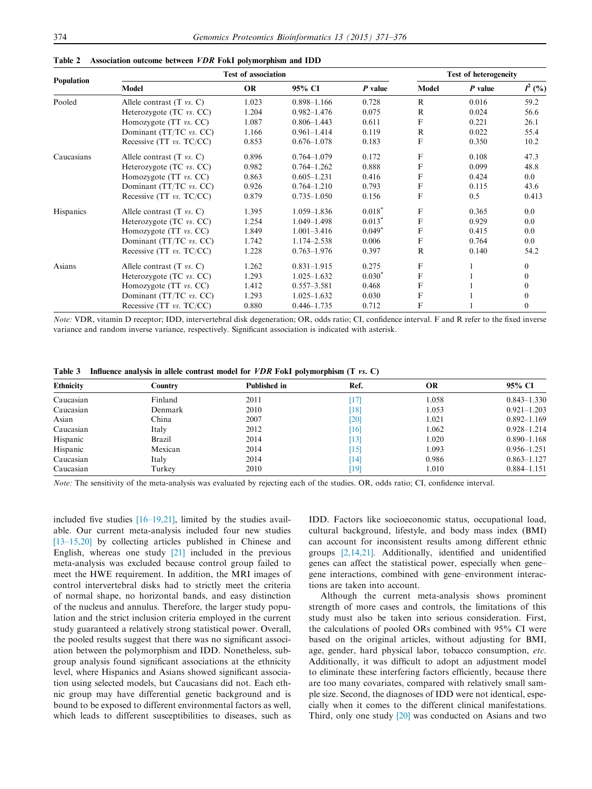| <b>Population</b> | <b>Test of association</b>           |           |                 |           |              | <b>Test of heterogeneity</b>                                                                  |           |  |
|-------------------|--------------------------------------|-----------|-----------------|-----------|--------------|-----------------------------------------------------------------------------------------------|-----------|--|
|                   | Model                                | <b>OR</b> | 95% CI          | $P$ value | Model        | P value                                                                                       | $I^2$ (%) |  |
| Pooled            | Allele contrast $(T \text{ vs. } C)$ | 1.023     | $0.898 - 1.166$ | 0.728     | R            | 0.016                                                                                         | 59.2      |  |
|                   | Heterozygote $(TC \text{ vs. } CC)$  | 1.204     | $0.982 - 1.476$ | 0.075     | $\mathbb{R}$ | 0.024                                                                                         | 56.6      |  |
|                   | Homozygote (TT vs. CC)               | 1.087     | $0.806 - 1.443$ | 0.611     | F            | 0.221                                                                                         | 26.1      |  |
|                   | Dominant (TT/TC vs. CC)              | 1.166     | $0.961 - 1.414$ | 0.119     | $\mathbb{R}$ | 0.022                                                                                         | 55.4      |  |
|                   | Recessive (TT vs. TC/CC)             | 0.853     | $0.676 - 1.078$ | 0.183     | F            | 0.350<br>0.108<br>0.099<br>0.424<br>0.115<br>0.5<br>0.365<br>0.929<br>0.415<br>0.764<br>0.140 | 10.2      |  |
| Caucasians        | Allele contrast $(T \text{ vs. } C)$ | 0.896     | $0.764 - 1.079$ | 0.172     | $\mathbf F$  |                                                                                               | 47.3      |  |
|                   | Heterozygote $(TC \text{ vs. } CC)$  | 0.982     | $0.764 - 1.262$ | 0.888     | $\mathbf F$  |                                                                                               | 48.8      |  |
|                   | Homozygote (TT vs. CC)               | 0.863     | $0.605 - 1.231$ | 0.416     | $\mathbf F$  |                                                                                               | $0.0\,$   |  |
|                   | Dominant (TT/TC vs. CC)              | 0.926     | $0.764 - 1.210$ | 0.793     | $\mathbf F$  |                                                                                               | 43.6      |  |
|                   | Recessive (TT vs. TC/CC)             | 0.879     | $0.735 - 1.050$ | 0.156     | F            |                                                                                               | 0.413     |  |
| <b>Hispanics</b>  | Allele contrast $(T \text{ vs. C})$  | 1.395     | $1.059 - 1.836$ | $0.018*$  | $\mathbf F$  |                                                                                               | 0.0       |  |
|                   | Heterozygote $(TC \text{ vs. } CC)$  | 1.254     | 1.049-1.498     | $0.013*$  | F            |                                                                                               | 0.0       |  |
|                   | Homozygote (TT vs. CC)               | 1.849     | $1.001 - 3.416$ | $0.049*$  | F            |                                                                                               | 0.0       |  |
|                   | Dominant (TT/TC vs. CC)              | 1.742     | 1.174-2.538     | 0.006     | F            |                                                                                               | 0.0       |  |
|                   | Recessive (TT vs. TC/CC)             | 1.228     | $0.763 - 1.976$ | 0.397     | $\mathbb{R}$ |                                                                                               | 54.2      |  |
| Asians            | Allele contrast $(T \text{ vs. C})$  | 1.262     | $0.831 - 1.915$ | 0.275     | $\mathbf F$  |                                                                                               | $\theta$  |  |
|                   | Heterozygote $(TC \text{ vs. } CC)$  | 1.293     | $1.025 - 1.632$ | $0.030*$  | $\mathbf F$  |                                                                                               | $\theta$  |  |
|                   | Homozygote (TT vs. CC)               | 1.412     | $0.557 - 3.581$ | 0.468     | F            |                                                                                               | $\theta$  |  |
|                   | Dominant (TT/TC vs. CC)              | 1.293     | $1.025 - 1.632$ | 0.030     | F            |                                                                                               | $\theta$  |  |
|                   | Recessive $(TT vs. TC/CC)$           | 0.880     | $0.446 - 1.735$ | 0.712     | F            |                                                                                               | $\theta$  |  |

<span id="page-3-0"></span>Table 2 Association outcome between VDR FokI polymorphism and IDD

Note: VDR, vitamin D receptor; IDD, intervertebral disk degeneration; OR, odds ratio; CI, confidence interval. F and R refer to the fixed inverse variance and random inverse variance, respectively. Significant association is indicated with asterisk.

Table 3 Influence analysis in allele contrast model for VDR FokI polymorphism (T vs. C)

| <b>Ethnicity</b> | Country | <b>Published in</b> | Ref.                          | OR    | 95% CI          |
|------------------|---------|---------------------|-------------------------------|-------|-----------------|
| Caucasian        | Finland | 2011                | [17]                          | 1.058 | $0.843 - 1.330$ |
| Caucasian        | Denmark | 2010                | $\lceil 18 \rceil$            | 1.053 | $0.921 - 1.203$ |
| Asian            | China   | 2007                | [20]                          | 1.021 | $0.892 - 1.169$ |
| Caucasian        | Italy   | 2012                | [16]                          | 1.062 | $0.928 - 1.214$ |
| Hispanic         | Brazil  | 2014                | [13]                          | 1.020 | $0.890 - 1.168$ |
| Hispanic         | Mexican | 2014                | [15]                          | 1.093 | $0.956 - 1.251$ |
| Caucasian        | Italy   | 2014                | $\left\lceil 14 \right\rceil$ | 0.986 | $0.863 - 1.127$ |
| Caucasian        | Turkey  | 2010                | [19]                          | 1.010 | $0.884 - 1.151$ |

Note: The sensitivity of the meta-analysis was evaluated by rejecting each of the studies. OR, odds ratio; CI, confidence interval.

included five studies [\[16–19,21\],](#page-5-0) limited by the studies available. Our current meta-analysis included four new studies [\[13–15,20\]](#page-5-0) by collecting articles published in Chinese and English, whereas one study [\[21\]](#page-5-0) included in the previous meta-analysis was excluded because control group failed to meet the HWE requirement. In addition, the MRI images of control intervertebral disks had to strictly meet the criteria of normal shape, no horizontal bands, and easy distinction of the nucleus and annulus. Therefore, the larger study population and the strict inclusion criteria employed in the current study guaranteed a relatively strong statistical power. Overall, the pooled results suggest that there was no significant association between the polymorphism and IDD. Nonetheless, subgroup analysis found significant associations at the ethnicity level, where Hispanics and Asians showed significant association using selected models, but Caucasians did not. Each ethnic group may have differential genetic background and is bound to be exposed to different environmental factors as well, which leads to different susceptibilities to diseases, such as

IDD. Factors like socioeconomic status, occupational load, cultural background, lifestyle, and body mass index (BMI) can account for inconsistent results among different ethnic groups [\[2,14,21\].](#page-4-0) Additionally, identified and unidentified genes can affect the statistical power, especially when gene– gene interactions, combined with gene–environment interactions are taken into account.

Although the current meta-analysis shows prominent strength of more cases and controls, the limitations of this study must also be taken into serious consideration. First, the calculations of pooled ORs combined with 95% CI were based on the original articles, without adjusting for BMI, age, gender, hard physical labor, tobacco consumption, etc. Additionally, it was difficult to adopt an adjustment model to eliminate these interfering factors efficiently, because there are too many covariates, compared with relatively small sample size. Second, the diagnoses of IDD were not identical, especially when it comes to the different clinical manifestations. Third, only one study [\[20\]](#page-5-0) was conducted on Asians and two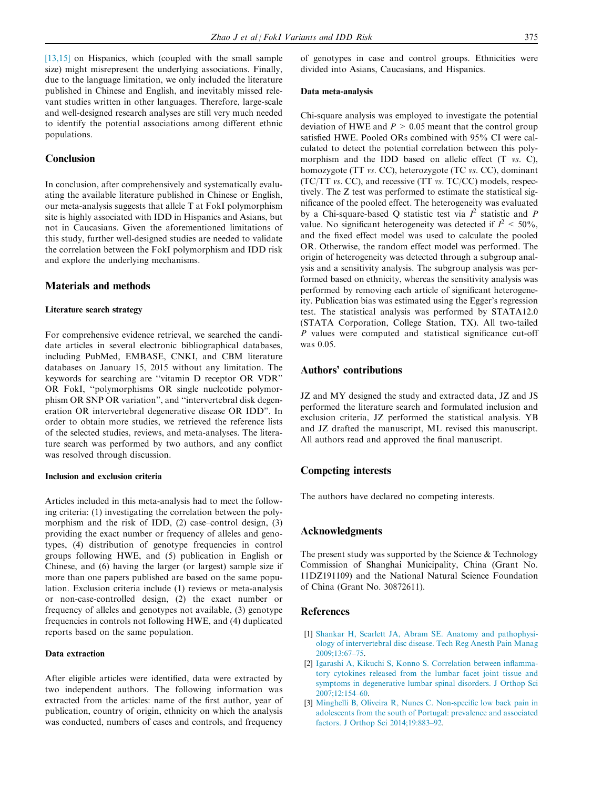<span id="page-4-0"></span>[\[13,15\]](#page-5-0) on Hispanics, which (coupled with the small sample size) might misrepresent the underlying associations. Finally, due to the language limitation, we only included the literature published in Chinese and English, and inevitably missed relevant studies written in other languages. Therefore, large-scale and well-designed research analyses are still very much needed to identify the potential associations among different ethnic populations.

## Conclusion

In conclusion, after comprehensively and systematically evaluating the available literature published in Chinese or English, our meta-analysis suggests that allele T at FokI polymorphism site is highly associated with IDD in Hispanics and Asians, but not in Caucasians. Given the aforementioned limitations of this study, further well-designed studies are needed to validate the correlation between the FokI polymorphism and IDD risk and explore the underlying mechanisms.

## Materials and methods

#### Literature search strategy

For comprehensive evidence retrieval, we searched the candidate articles in several electronic bibliographical databases, including PubMed, EMBASE, CNKI, and CBM literature databases on January 15, 2015 without any limitation. The keywords for searching are ''vitamin D receptor OR VDR" OR FokI, ''polymorphisms OR single nucleotide polymorphism OR SNP OR variation", and ''intervertebral disk degeneration OR intervertebral degenerative disease OR IDD". In order to obtain more studies, we retrieved the reference lists of the selected studies, reviews, and meta-analyses. The literature search was performed by two authors, and any conflict was resolved through discussion.

#### Inclusion and exclusion criteria

Articles included in this meta-analysis had to meet the following criteria: (1) investigating the correlation between the polymorphism and the risk of IDD, (2) case–control design, (3) providing the exact number or frequency of alleles and genotypes, (4) distribution of genotype frequencies in control groups following HWE, and (5) publication in English or Chinese, and (6) having the larger (or largest) sample size if more than one papers published are based on the same population. Exclusion criteria include (1) reviews or meta-analysis or non-case-controlled design, (2) the exact number or frequency of alleles and genotypes not available, (3) genotype frequencies in controls not following HWE, and (4) duplicated reports based on the same population.

#### Data extraction

After eligible articles were identified, data were extracted by two independent authors. The following information was extracted from the articles: name of the first author, year of publication, country of origin, ethnicity on which the analysis was conducted, numbers of cases and controls, and frequency of genotypes in case and control groups. Ethnicities were divided into Asians, Caucasians, and Hispanics.

#### Data meta-analysis

Chi-square analysis was employed to investigate the potential deviation of HWE and  $P > 0.05$  meant that the control group satisfied HWE. Pooled ORs combined with 95% CI were calculated to detect the potential correlation between this polymorphism and the IDD based on allelic effect (T vs. C), homozygote (TT vs. CC), heterozygote (TC vs. CC), dominant (TC/TT vs. CC), and recessive (TT vs. TC/CC) models, respectively. The Z test was performed to estimate the statistical significance of the pooled effect. The heterogeneity was evaluated by a Chi-square-based Q statistic test via  $I^2$  statistic and P value. No significant heterogeneity was detected if  $I^2 < 50\%$ , and the fixed effect model was used to calculate the pooled OR. Otherwise, the random effect model was performed. The origin of heterogeneity was detected through a subgroup analysis and a sensitivity analysis. The subgroup analysis was performed based on ethnicity, whereas the sensitivity analysis was performed by removing each article of significant heterogeneity. Publication bias was estimated using the Egger's regression test. The statistical analysis was performed by STATA12.0 (STATA Corporation, College Station, TX). All two-tailed P values were computed and statistical significance cut-off was 0.05.

## Authors' contributions

JZ and MY designed the study and extracted data, JZ and JS performed the literature search and formulated inclusion and exclusion criteria, JZ performed the statistical analysis. YB and JZ drafted the manuscript, ML revised this manuscript. All authors read and approved the final manuscript.

## Competing interests

The authors have declared no competing interests.

## Acknowledgments

The present study was supported by the Science  $&$  Technology Commission of Shanghai Municipality, China (Grant No. 11DZ191109) and the National Natural Science Foundation of China (Grant No. 30872611).

#### References

- [1] [Shankar H, Scarlett JA, Abram SE. Anatomy and pathophysi](http://refhub.elsevier.com/S1672-0229(16)00002-4/h0005)[ology of intervertebral disc disease. Tech Reg Anesth Pain Manag](http://refhub.elsevier.com/S1672-0229(16)00002-4/h0005) [2009;13:67–75](http://refhub.elsevier.com/S1672-0229(16)00002-4/h0005).
- [2] [Igarashi A, Kikuchi S, Konno S. Correlation between inflamma](http://refhub.elsevier.com/S1672-0229(16)00002-4/h0010)[tory cytokines released from the lumbar facet joint tissue and](http://refhub.elsevier.com/S1672-0229(16)00002-4/h0010) [symptoms in degenerative lumbar spinal disorders. J Orthop Sci](http://refhub.elsevier.com/S1672-0229(16)00002-4/h0010) [2007;12:154–60.](http://refhub.elsevier.com/S1672-0229(16)00002-4/h0010)
- [3] [Minghelli B, Oliveira R, Nunes C. Non-specific low back pain in](http://refhub.elsevier.com/S1672-0229(16)00002-4/h0015) [adolescents from the south of Portugal: prevalence and associated](http://refhub.elsevier.com/S1672-0229(16)00002-4/h0015) [factors. J Orthop Sci 2014;19:883–92.](http://refhub.elsevier.com/S1672-0229(16)00002-4/h0015)